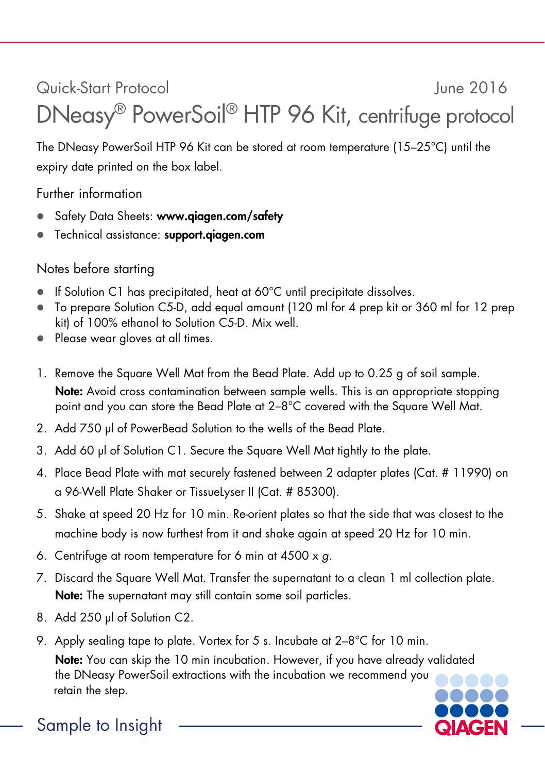## Quick-Start Protocol June 2016 DNeasy® PowerSoil® HTP 96 Kit, centrifuge protocol

The DNeasy PowerSoil HTP 96 Kit can be stored at room temperature (15–25°C) until the expiry date printed on the box label.

Further information

- Safety Data Sheets: www.aiaaen.com/safety
- **•** Technical assistance: support.giagen.com

## Notes before starting

- If Solution C1 has precipitated, heat at 60°C until precipitate dissolves.
- To prepare Solution C5-D, add equal amount (120 ml for 4 prep kit or 360 ml for 12 prep kit) of 100% ethanol to Solution C5-D. Mix well.
- Please wear gloves at all times.
- 1. Remove the Square Well Mat from the Bead Plate. Add up to 0.25 g of soil sample. Note: Avoid cross contamination between sample wells. This is an appropriate stopping point and you can store the Bead Plate at 2–8°C covered with the Square Well Mat.
- 2. Add 750 μl of PowerBead Solution to the wells of the Bead Plate.
- 3. Add 60 μl of Solution C1. Secure the Square Well Mat tightly to the plate.
- 4. Place Bead Plate with mat securely fastened between 2 adapter plates (Cat. # 11990) on a 96-Well Plate Shaker or TissueLyser II (Cat. # 85300).
- 5. Shake at speed 20 Hz for 10 min. Re-orient plates so that the side that was closest to the machine body is now furthest from it and shake again at speed 20 Hz for 10 min.
- 6. Centrifuge at room temperature for 6 min at 4500 x *g*.
- 7. Discard the Square Well Mat. Transfer the supernatant to a clean 1 ml collection plate. Note: The supernatant may still contain some soil particles.
- 8. Add 250 μl of Solution C2.
- 9. Apply sealing tape to plate. Vortex for 5 s. Incubate at 2–8°C for 10 min.

Note: You can skip the 10 min incubation. However, if you have already validated the DNeasy PowerSoil extractions with the incubation we recommend you retain the step.



Sample to Insight